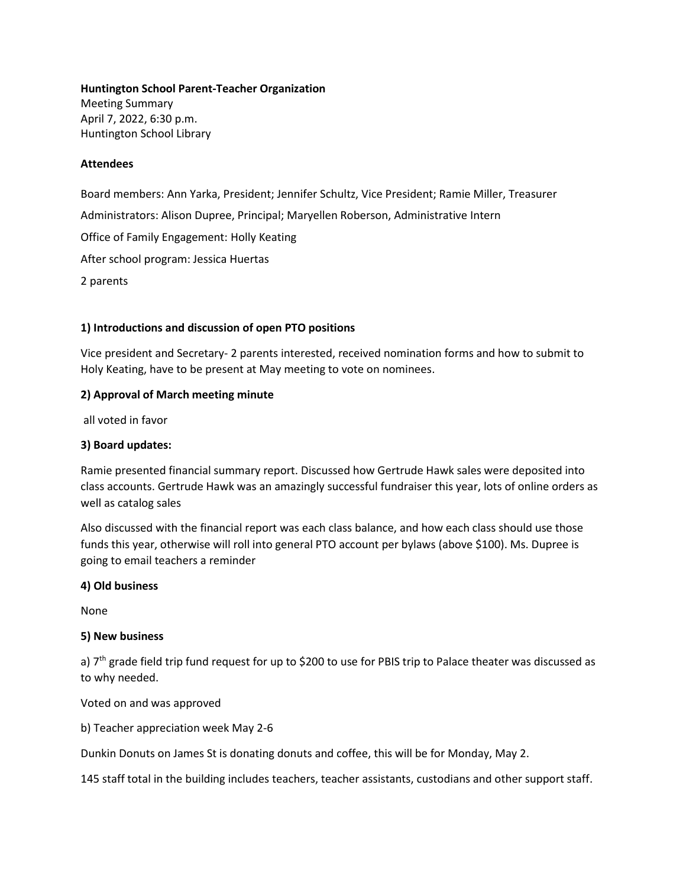**Huntington School Parent-Teacher Organization**  Meeting Summary April 7, 2022, 6:30 p.m. Huntington School Library

## **Attendees**

Board members: Ann Yarka, President; Jennifer Schultz, Vice President; Ramie Miller, Treasurer Administrators: Alison Dupree, Principal; Maryellen Roberson, Administrative Intern Office of Family Engagement: Holly Keating After school program: Jessica Huertas 2 parents

## **1) Introductions and discussion of open PTO positions**

Vice president and Secretary- 2 parents interested, received nomination forms and how to submit to Holy Keating, have to be present at May meeting to vote on nominees.

## **2) Approval of March meeting minute**

all voted in favor

#### **3) Board updates:**

Ramie presented financial summary report. Discussed how Gertrude Hawk sales were deposited into class accounts. Gertrude Hawk was an amazingly successful fundraiser this year, lots of online orders as well as catalog sales

Also discussed with the financial report was each class balance, and how each class should use those funds this year, otherwise will roll into general PTO account per bylaws (above \$100). Ms. Dupree is going to email teachers a reminder

#### **4) Old business**

None

#### **5) New business**

a)  $7<sup>th</sup>$  grade field trip fund request for up to \$200 to use for PBIS trip to Palace theater was discussed as to why needed.

Voted on and was approved

b) Teacher appreciation week May 2-6

Dunkin Donuts on James St is donating donuts and coffee, this will be for Monday, May 2.

145 staff total in the building includes teachers, teacher assistants, custodians and other support staff.